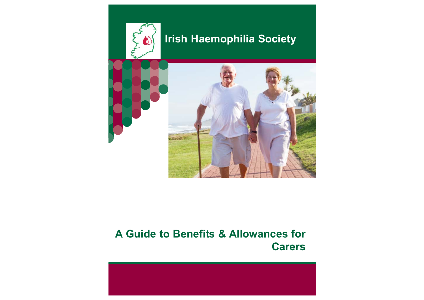

# **A Guide to Benefits & Allowances for Carers**

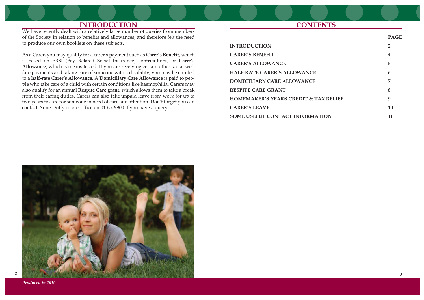## I**NTRODUCTION**

We have recently dealt with a relatively large number of queries from members of the Society in relation to benefits and allowances, and therefore felt the need to produce our own booklets on these subjects.

As a Carer, you may qualify for a carer's payment such as **Carer's Benefit**, which is based on PRSI (Pay Related Social Insurance) contributions, or **Carer's Allowance,** which is means tested. If you are receiving certain other social welfare payments and taking care of someone with a disability, you may be entitled to a **half-rate Carer's Allowance**. A **Domiciliary Care Allowance** is paid to people who take care of a child with certain conditions like haemophilia. Carers may also qualify for an annual **Respite Care grant,** which allows them to take a break from their caring duties. Carers can also take unpaid leave from work for up to two years to care for someone in need of care and attention. Don't forget you can contact Anne Duffy in our office on 01 6579900 if you have a query.

## **CONTENTS**

| <b>INTRODUCTION</b>                              | 2  |
|--------------------------------------------------|----|
| <b>CARER'S BENEFIT</b>                           | 4  |
| <b>CARER'S ALLOWANCE</b>                         | 5  |
| <b>HALF-RATE CARER'S ALLOWANCE</b>               | 6  |
| DOMICILIARY CARE ALLOWANCE                       | 7  |
| <b>RESPITE CARE GRANT</b>                        | 8  |
| <b>HOMEMAKER'S YEARS CREDIT &amp; TAX RELIEF</b> | 9  |
| <b>CARER'S LEAVE</b>                             | 10 |
| <b>SOME USEFUL CONTACT INFORMATION</b>           | 11 |



*Produced in 2010*

**PAGE**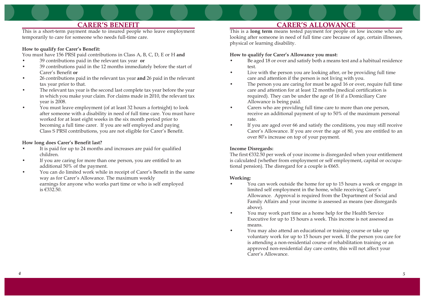## **CARER'S BENEFIT**

This is a short-term payment made to insured people who leave employment temporarily to care for someone who needs full-time care.

#### **How to qualify for Carer's Benefit:**

You must have 156 PRSI paid contributions in Class A, B, C, D, E or H **and**

- •39 contributions paid in the relevant tax year **or**
- • 39 contributions paid in the 12 months immediately before the start of Carer's Benefit **or**
- • 26 contributions paid in the relevant tax year **and** 26 paid in the relevant tax year prior to that.
- • The relevant tax year is the second last complete tax year before the year in which you make your claim. For claims made in 2010, the relevant tax year is 2008.
- • You must leave employment (of at least 32 hours a fortnight) to look after someone with a disability in need of full time care. You must have worked for at least eight weeks in the six month period prior to becoming a full time carer. If you are self employed and paying Class S PRSI contributions, you are not eligible for Carer's Benefit.

### **How long does Carer's Benefit last?**

- • It is paid for up to 24 months and increases are paid for qualified children.
- • If you are caring for more than one person, you are entitled to an additional 50% of the payment.
- • You can do limited work while in receipt of Carer's Benefit in the same way as for Carer's Allowance. The maximum weekly earnings for anyone who works part time or who is self employed is €332.50.

## **CARER'S ALLOWANCE**

This is a **long term** means tested payment for people on low income who are looking after someone in need of full time care because of age, certain illnesses, physical or learning disability.

#### **How to qualify for Carer's Allowance you must:**

- Be aged 18 or over and satisfy both a means test and a habitual residence test.
- • Live with the person you are looking after, or be providing full time care and attention if the person is not living with you.
- • The person you are caring for must be aged 16 or over, require full time care and attention for at least 12 months (medical certification is required). They can be under the age of 16 if a Domiciliary Care Allowance is being paid.
- • Carers who are providing full time care to more than one person, receive an additional payment of up to 50% of the maximum personal rate.
- • If you are aged over 66 and satisfy the conditions, you may still receive Carer's Allowance. If you are over the age of 80, you are entitled to an over 80's increase on top of your payment.

### **Income Disregards:**

The first €332.50 per week of your income is disregarded when your entitlement is calculated (whether from employment or self employment, capital or occupational pension). The disregard for a couple is  $€665$ .

#### **Working:**

•

- • You can work outside the home for up to 15 hours a week or engage in limited self employment in the home, while receiving Carer's Allowance. Approval is required from the Department of Social and Family Affairs and your income is assessed as means (see disregards above).
- • You may work part time as a home help for the Health Service Executive for up to 15 hours a week. This income is not assessed as means.
- • You may also attend an educational or training course or take up voluntary work for up to 15 hours per week. If the person you care for is attending a non-residential course of rehabilitation training or an approved non-residential day care centre, this will not affect your Carer's Allowance.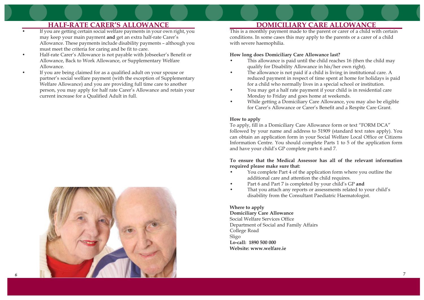# **HALF-RATE CARER'S ALLOWANCE**

- • If you are getting certain social welfare payments in your own right, you may keep your main payment **and** get an extra half-rate Carer's Allowance. These payments include disability payments – although you must meet the criteria for caring and be fit to care.
- • Half-rate Carer's Allowance is not payable with Jobseeker's Benefit or Allowance, Back to Work Allowance, or Supplementary Welfare Allowance.
- • If you are being claimed for as a qualified adult on your spouse or partner's social welfare payment (with the exception of Supplementary Welfare Allowance) and you are providing full time care to another person, you may apply for half rate Carer's Allowance and retain your current increase for a Qualified Adult in full.



*6*

## **DOMICILIARY CARE ALLOWANCE**

This is a monthly payment made to the parent or carer of a child with certain conditions. In some cases this may apply to the parents or a carer of a child with severe haemophilia.

#### **How long does Domiciliary Care Allowance last?**

- • This allowance is paid until the child reaches 16 (then the child may qualify for Disability Allowance in his/her own right).
- • The allowance is not paid if a child is living in institutional care. A reduced payment in respect of time spent at home for holidays is paid for a child who normally lives in a special school or institution.
- • You may get a half rate payment if your child is in residential care Monday to Friday and goes home at weekends.
- • While getting a Domiciliary Care Allowance, you may also be eligible for Carer's Allowance or Carer's Benefit and a Respite Care Grant.

### **How to apply**

To apply, fill in a Domiciliary Care Allowance form or text "FORM DCA" followed by your name and address to 51909 (standard text rates apply). You can obtain an application form in your Social Welfare Local Office or Citizens Information Centre. You should complete Parts 1 to 5 of the application form and have your child's GP complete parts 6 and 7.

#### **To ensure that the Medical Assessor has all of the relevant information required please make sure that:**

- • You complete Part 4 of the application form where you outline the additional care and attention the child requires.
- •Part 6 and Part 7 is completed by your child's GP **and**
- • That you attach any reports or assessments related to your child's disability from the Consultant Paediatric Haematologist.

## **Where to apply**

### **Domiciliary Care Allowance**

Social Welfare Services Office Department of Social and Family Affairs College Road Sligo **Lo-call: 1890 500 000 Website: www.welfare.ie**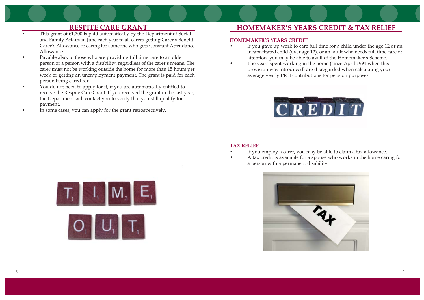## **RESPITE CARE GRANT**

- •This grant of  $E1,700$  is paid automatically by the Department of Social and Family Affairs in June each year to all carers getting Carer's Benefit, Carer's Allowance or caring for someone who gets Constant Attendance Allowance.
- • Payable also, to those who are providing full time care to an older person or a person with a disability, regardless of the carer's means. The carer must not be working outside the home for more than 15 hours per week or getting an unemployment payment. The grant is paid for each person being cared for.
- • You do not need to apply for it, if you are automatically entitled to receive the Respite Care Grant. If you received the grant in the last year, the Department will contact you to verify that you still qualify for payment.
- •In some cases, you can apply for the grant retrospectively.

## **HOMEMAKER'S YEARS CREDIT & TAX RELIEF**

#### **HOMEMAKER'S YEARS CREDIT**

- If you gave up work to care full time for a child under the age 12 or an incapacitated child (over age 12), or an adult who needs full time care or attention, you may be able to avail of the Homemaker's Scheme.
- The years spent working in the home (since April 1994 when this provision was introduced) are disregarded when calculating your average yearly PRSI contributions for pension purposes.



#### **TAX RELIEF**

•

•

 $\bullet$ 

- •If you employ a carer, you may be able to claim a tax allowance.
- A tax credit is available for a spouse who works in the home caring for a person with a permanent disability.



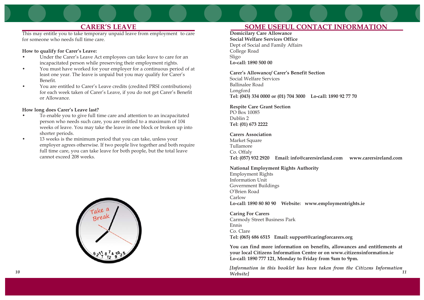## **CARER'S LEAVE**

This may entitle you to take temporary unpaid leave from employment to care for someone who needs full time care.

#### **How to qualify for Carer's Leave:**

- • Under the Carer's Leave Act employees can take leave to care for an incapacitated person while preserving their employment rights.
- • You must have worked for your employer for a continuous period of at least one year. The leave is unpaid but you may qualify for Carer's Benefit.
- • You are entitled to Carer's Leave credits (credited PRSI contributions) for each week taken of Carer's Leave, if you do not get Carer's Benefit or Allowance.

#### **How long does Carer's Leave last?**

- • To enable you to give full time care and attention to an incapacitated person who needs such care, you are entitled to a maximum of 104 weeks of leave. You may take the leave in one block or broken up into shorter periods.
- • 13 weeks is the minimum period that you can take, unless your employer agrees otherwise. If two people live together and both require full time care, you can take leave for both people, but the total leave cannot exceed 208 weeks.



# **SOME USEFUL CONTACT INFORMATION**

**Domicilary Care Allowance Social Welfare Services Office** Dept of Social and Family Affairs College Road Sligo **Lo-call: 1890 500 00**

**Carer's Allowance/ Carer's Benefit Section**  Social Welfare Services Ballinalee Road Longford **Tel: (043) 334 0000 or (01) 704 3000 Lo-call: 1890 92 77 70**

**Respite Care Grant Section** PO Box 10085 Dublin 2 **Tel: (01) 673 2222**

#### **Carers Association**

Market Square Tullamore Co. Offaly **Tel: (057) 932 2920 Email: info@carersireland.com www.carersireland.com**

**National Employment Rights Authority**

Employment Rights Information Unit Government Buildings O'Brien Road Carlow **Lo-call: 1890 80 80 90 Website: www.employmentrights.ie**

**Caring For Carers** Carmody Street Business Park Ennis Co. Clare **Tel: (065) 686 6515 Email: support@caringforcarers.org**

**You can find more information on benefits, allowances and entitlements at your local Citizens Information Centre or on www.citizensinformation.ie Lo-call: 1890 777 121, Monday to Friday from 9am to 9pm.**

*[Information in this booklet has been taken from the Citizens Information Website] 10 11*